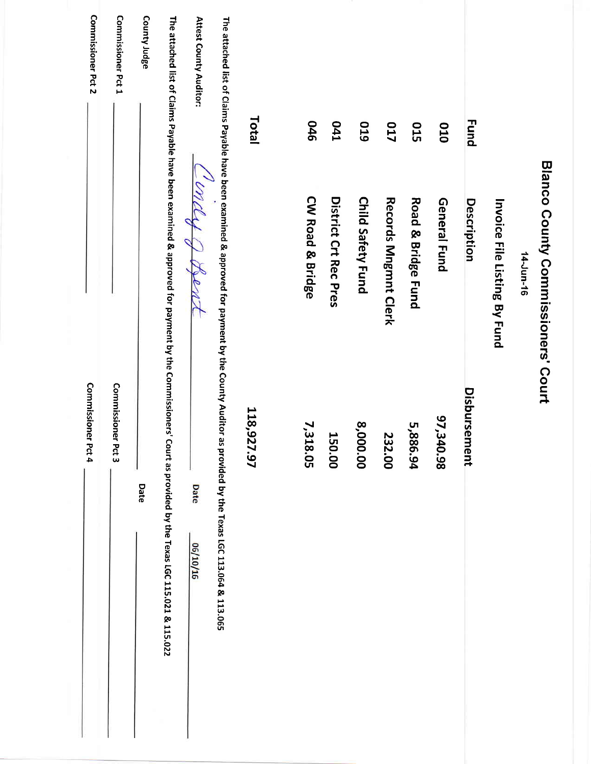| Commissioner Pct 2 | Commissioner Pct 1 | County Judge |                                                                                                                                                          | Attest County Auditor: |                                                                                                                                                    |            |                  |                       |                          |                      |                               |              |              |                              |           |                                    |
|--------------------|--------------------|--------------|----------------------------------------------------------------------------------------------------------------------------------------------------------|------------------------|----------------------------------------------------------------------------------------------------------------------------------------------------|------------|------------------|-----------------------|--------------------------|----------------------|-------------------------------|--------------|--------------|------------------------------|-----------|------------------------------------|
|                    |                    |              |                                                                                                                                                          |                        |                                                                                                                                                    | Total      | 970              | <b>D41</b>            | 610                      | <b>ZTO</b>           | <b>015</b>                    | 010          | <b>Fund</b>  |                              |           |                                    |
|                    |                    |              |                                                                                                                                                          | Condy & Dent           |                                                                                                                                                    |            | CW Road & Bridge | District Crt Rec Pres | <b>Child Safety Fund</b> | Records Mngmnt Clerk | <b>Road &amp; Bridge Fund</b> | General Fund | Description  | Invoice File Listing By Fund | 14-Jun-16 | Blanco County Commissioners' Court |
| Commissioner Pct 4 | Commissioner Pct 3 | Date         | The attached list of Claims Payable have been examined & approved for payment by the Commissioners' Court as provided by the Texas LGC 115.021 & 115.022 | Date<br>06/10/16       | The attached list of Claims Payable have been examined & approved for payment by the County Auditor as provided by the Texas LGC 113.064 & 113.065 | 118,927.97 | 7,318.05         | <b>150.00</b>         | 8,000.00                 | 232.00               | 5,886.94                      | 87,340.98    | Disbursement |                              |           |                                    |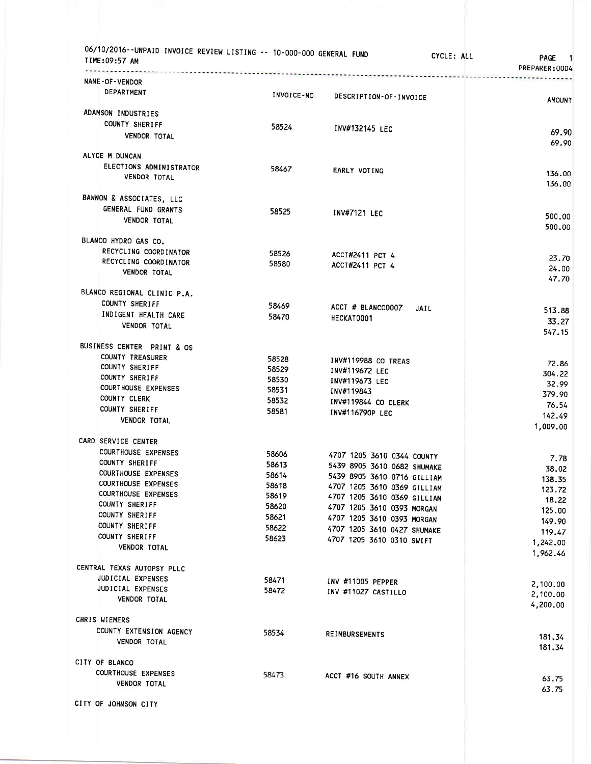| NAME-OF-VENDOR<br>DEPARTMENT                   | INVOICE-NO     | DESCRIPTION-OF-INVOICE      |                      |
|------------------------------------------------|----------------|-----------------------------|----------------------|
| ADAMSON INDUSTRIES                             |                |                             | <b>AMOUNT</b>        |
| COUNTY SHERIFF                                 |                |                             |                      |
|                                                | 58524          | INV#132145 LEC              | 69.90                |
| VENDOR TOTAL                                   |                |                             | 69.90                |
| ALYCE M DUNCAN                                 |                |                             |                      |
| ELECTIONS ADMINISTRATOR                        | 58467          | EARLY VOTING                |                      |
| VENDOR TOTAL                                   |                |                             | 136.00<br>136.00     |
| BANNON & ASSOCIATES, LLC                       |                |                             |                      |
| GENERAL FUND GRANTS                            |                |                             |                      |
| <b>VENDOR TOTAL</b>                            | 58525          | <b>INV#7121 LEC</b>         | 500.00               |
|                                                |                |                             | 500.00               |
| BLANCO HYDRO GAS CO.                           |                |                             |                      |
| RECYCLING COORDINATOR                          | 58526          | ACCT#2411 PCT 4             | 23.70                |
| RECYCLING COORDINATOR                          | 58580          | ACCT#2411 PCT 4             | 24.00                |
| <b>VENDOR TOTAL</b>                            |                |                             | 47.70                |
| BLANCO REGIONAL CLINIC P.A.                    |                |                             |                      |
| COUNTY SHERIFF                                 | 58469          | ACCT # BLANCO0007           |                      |
| INDIGENT HEALTH CARE                           | 58470          | JAIL<br>HECKAT0001          | 513.88               |
| VENDOR TOTAL                                   |                |                             | 33.27<br>547.15      |
|                                                |                |                             |                      |
| BUSINESS CENTER PRINT & OS<br>COUNTY TREASURER |                |                             |                      |
| COUNTY SHERIFF                                 | 58528          | INV#119988 CO TREAS         | 72.86                |
| COUNTY SHERIFF                                 | 58529          | INV#119672 LEC              | 304.22               |
| COURTHOUSE EXPENSES                            | 58530          | INV#119673 LEC              | 32.99                |
| COUNTY CLERK                                   | 58531          | INV#119843                  | 379.90               |
| COUNTY SHERIFF                                 | 58532          | INV#119844 CO CLERK         | 76.54                |
| <b>VENDOR TOTAL</b>                            | 58581          | INV#116790P LEC             | 142.49               |
|                                                |                |                             | 1,009.00             |
| CARD SERVICE CENTER                            |                |                             |                      |
| <b>COURTHOUSE EXPENSES</b>                     | 58606          | 4707 1205 3610 0344 COUNTY  |                      |
| <b>COUNTY SHERIFF</b>                          | 58613          | 5439 8905 3610 0682 SHUMAKE | 7.78                 |
| <b>COURTHOUSE EXPENSES</b>                     | 58614          | 5439 8905 3610 0716 GILLIAM | 38.02                |
| <b>COURTHOUSE EXPENSES</b>                     | 58618          | 4707 1205 3610 0369 GILLIAM | 138.35               |
| COURTHOUSE EXPENSES                            | 58619          | 4707 1205 3610 0369 GILLIAM | 123.72               |
| COUNTY SHERIFF                                 | 58620          | 4707 1205 3610 0393 MORGAN  | 18.22                |
| COUNTY SHERIFF                                 | 58621          | 4707 1205 3610 0393 MORGAN  | 125.00               |
| COUNTY SHERIFF                                 | 58622          | 4707 1205 3610 0427 SHUMAKE | 149.90               |
| COUNTY SHERIFF                                 | 58623          | 4707 1205 3610 0310 SWIFT   | 119.47               |
| VENDOR TOTAL                                   |                |                             | 1,242.00<br>1,962.46 |
| CENTRAL TEXAS AUTOPSY PLLC                     |                |                             |                      |
| JUDICIAL EXPENSES                              |                |                             |                      |
| JUDICIAL EXPENSES                              | 58471<br>58472 | INV #11005 PEPPER           | 2,100.00             |
| VENDOR TOTAL                                   |                | INV #11027 CASTILLO         | 2,100.00             |
|                                                |                |                             | 4,200.00             |
| CHRIS WIEMERS                                  |                |                             |                      |
| COUNTY EXTENSION AGENCY<br><b>VENDOR TOTAL</b> | 58534          | <b>REIMBURSEMENTS</b>       | 181.34<br>181.34     |
| CITY OF BLANCO                                 |                |                             |                      |
| <b>COURTHOUSE EXPENSES</b>                     | 58473          | ACCT #16 SOUTH ANNEX        |                      |
| VENDOR TOTAL                                   |                |                             | 63.75                |
|                                                |                |                             | 63.75                |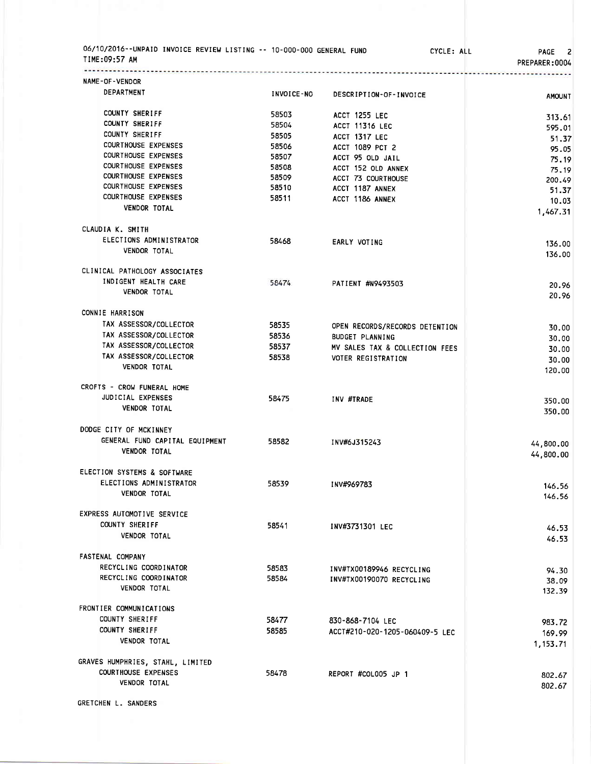| 06/10/2016--UNPAID INVOICE REVIEW LISTING -- 10-000-000 GENERAL FUND<br>TIME:09:57 AM |            |                                | CYCLE: ALL | 2<br>PAGE<br>PREPARER:0004 |
|---------------------------------------------------------------------------------------|------------|--------------------------------|------------|----------------------------|
| NAME-OF-VENDOR                                                                        |            |                                |            |                            |
| DEPARTMENT                                                                            | INVOICE-NO | DESCRIPTION-OF-INVOICE         |            | <b>AMOUNT</b>              |
| <b>COUNTY SHERIFF</b>                                                                 | 58503      | ACCT 1255 LEC                  |            |                            |
| COUNTY SHERIFF                                                                        | 58504      | ACCT 11316 LEC                 |            | 313.61                     |
| COUNTY SHERIFF                                                                        | 58505      |                                |            | 595.01                     |
| <b>COURTHOUSE EXPENSES</b>                                                            | 58506      | ACCT 1317 LEC                  |            | 51.37                      |
| <b>COURTHOUSE EXPENSES</b>                                                            |            | ACCT 1089 PCT 2                |            | 95.05                      |
| <b>COURTHOUSE EXPENSES</b>                                                            | 58507      | ACCT 95 OLD JAIL               |            | 75.19                      |
| <b>COURTHOUSE EXPENSES</b>                                                            | 58508      | ACCT 152 OLD ANNEX             |            | 75.19                      |
| <b>COURTHOUSE EXPENSES</b>                                                            | 58509      | ACCT 73 COURTHOUSE             |            | 200.49                     |
| <b>COURTHOUSE EXPENSES</b>                                                            | 58510      | ACCT 1187 ANNEX                |            | 51.37                      |
| <b>VENDOR TOTAL</b>                                                                   | 58511      | ACCT 1186 ANNEX                |            | 10.03<br>1,467.31          |
| CLAUDIA K. SMITH                                                                      |            |                                |            |                            |
| ELECTIONS ADMINISTRATOR                                                               | 58468      | EARLY VOTING                   |            |                            |
| <b>VENDOR TOTAL</b>                                                                   |            |                                |            | 136.00<br>136.00           |
|                                                                                       |            |                                |            |                            |
| CLINICAL PATHOLOGY ASSOCIATES                                                         |            |                                |            |                            |
| INDIGENT HEALTH CARE                                                                  | 58474      | PATIENT #N9493503              |            | 20.96                      |
| <b>VENDOR TOTAL</b>                                                                   |            |                                |            | 20.96                      |
| CONNIE HARRISON                                                                       |            |                                |            |                            |
| TAX ASSESSOR/COLLECTOR                                                                | 58535      | OPEN RECORDS/RECORDS DETENTION |            | 30.00                      |
| TAX ASSESSOR/COLLECTOR                                                                | 58536      | <b>BUDGET PLANNING</b>         |            | 30.00                      |
| TAX ASSESSOR/COLLECTOR                                                                | 58537      | MV SALES TAX & COLLECTION FEES |            | 30.00                      |
| TAX ASSESSOR/COLLECTOR                                                                | 58538      | VOTER REGISTRATION             |            | 30.00                      |
| <b>VENDOR TOTAL</b>                                                                   |            |                                |            | 120,00                     |
| CROFTS - CROW FUNERAL HOME                                                            |            |                                |            |                            |
| JUDICIAL EXPENSES                                                                     | 58475      | INV #TRADE                     |            | 350.00                     |
| <b>VENDOR TOTAL</b>                                                                   |            |                                |            | 350.00                     |
| DODGE CITY OF MCKINNEY                                                                |            |                                |            |                            |
| GENERAL FUND CAPITAL EQUIPMENT                                                        | 58582      | INV#6J315243                   |            | 44,800.00                  |
| <b>VENDOR TOTAL</b>                                                                   |            |                                |            | 44,800.00                  |
| ELECTION SYSTEMS & SOFTWARE                                                           |            |                                |            |                            |
| ELECTIONS ADMINISTRATOR                                                               | 58539      | INV#969783                     |            | 146.56                     |
| <b>VENDOR TOTAL</b>                                                                   |            |                                |            | 146.56                     |
| EXPRESS AUTOMOTIVE SERVICE                                                            |            |                                |            |                            |
| <b>COUNTY SHERIFF</b>                                                                 | 58541      | INV#3731301 LEC                |            | 46.53                      |
| VENDOR TOTAL                                                                          |            |                                |            | 46.53                      |
| FASTENAL COMPANY                                                                      |            |                                |            |                            |
| RECYCLING COORDINATOR                                                                 | 58583      | INV#TX00189946 RECYCLING       |            | 94.30                      |
| RECYCLING COORDINATOR                                                                 | 58584      | INV#TX00190070 RECYCLING       |            | 38.09                      |
| <b>VENDOR TOTAL</b>                                                                   |            |                                |            | 132.39                     |
| FRONTIER COMMUNICATIONS                                                               |            |                                |            |                            |
| COUNTY SHERIFF                                                                        | 58477      | 830-868-7104 LEC               |            | 983.72                     |
| <b>COUNTY SHERIFF</b>                                                                 | 58585      | ACCT#210-020-1205-060409-5 LEC |            | 169.99                     |
| <b>VENDOR TOTAL</b>                                                                   |            |                                |            | 1,153.71                   |
| GRAVES HUMPHRIES, STAHL, LIMITED                                                      |            |                                |            |                            |
| <b>COURTHOUSE EXPENSES</b>                                                            | 58478      | REPORT #COLOO5 JP 1            |            | 802.67                     |
| VENDOR TOTAL                                                                          |            |                                |            | 802.67                     |
| <b>GRETCHEN L. SANDERS</b>                                                            |            |                                |            |                            |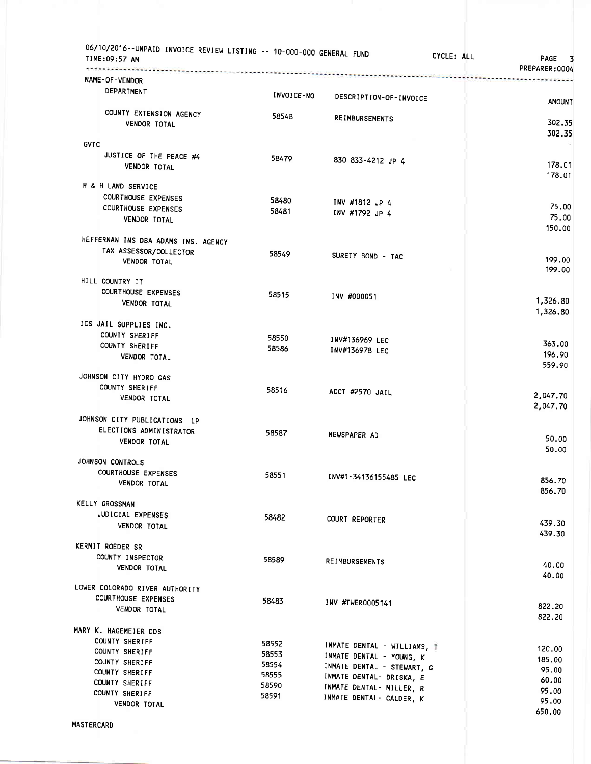| 06/10/2016--UNPAID INVOICE REVIEW LISTING -- 10-000-000 GENERAL FUND<br>TIME:09:57 AM |            |                             | CYCLE: ALL | PAGE 3<br>PREPARER:0004 |
|---------------------------------------------------------------------------------------|------------|-----------------------------|------------|-------------------------|
| NAME-OF-VENDOR                                                                        |            |                             |            |                         |
| DEPARTMENT                                                                            | INVOICE-NO | DESCRIPTION-OF-INVOICE      |            |                         |
| COUNTY EXTENSION AGENCY                                                               |            |                             |            | <b>AMOUNT</b>           |
| VENDOR TOTAL                                                                          | 58548      | <b>REIMBURSEMENTS</b>       |            | 302.35                  |
|                                                                                       |            |                             |            | 302.35                  |
| <b>GVTC</b>                                                                           |            |                             |            |                         |
| JUSTICE OF THE PEACE #4<br><b>VENDOR TOTAL</b>                                        | 58479      | 830-833-4212 JP 4           |            | 178.01                  |
|                                                                                       |            |                             |            | 178.01                  |
| H & H LAND SERVICE                                                                    |            |                             |            |                         |
| <b>COURTHOUSE EXPENSES</b>                                                            | 58480      | INV #1812 JP 4              |            |                         |
| <b>COURTHOUSE EXPENSES</b>                                                            | 58481      | INV #1792 JP 4              |            | 75.00<br>75.00          |
| VENDOR TOTAL                                                                          |            |                             |            | 150,00                  |
| HEFFERNAN INS DBA ADAMS INS. AGENCY                                                   |            |                             |            |                         |
| TAX ASSESSOR/COLLECTOR                                                                | 58549      |                             |            |                         |
| VENDOR TOTAL                                                                          |            | SURETY BOND - TAC           |            | 199.00                  |
|                                                                                       |            |                             |            | 199.00                  |
| HILL COUNTRY IT<br>COURTHOUSE EXPENSES                                                |            |                             |            |                         |
| VENDOR TOTAL                                                                          | 58515      | INV #000051                 |            | 1,326.80                |
|                                                                                       |            |                             |            | 1,326.80                |
| ICS JAIL SUPPLIES INC.                                                                |            |                             |            |                         |
| COUNTY SHERIFF                                                                        | 58550      | INV#136969 LEC              |            |                         |
| COUNTY SHERIFF                                                                        | 58586      | INV#136978 LEC              |            | 363.00                  |
| <b>VENDOR TOTAL</b>                                                                   |            |                             |            | 196.90<br>559.90        |
| JOHNSON CITY HYDRO GAS                                                                |            |                             |            |                         |
| COUNTY SHERIFF                                                                        | 58516      |                             |            |                         |
| VENDOR TOTAL                                                                          |            | ACCT #2570 JAIL             |            | 2,047.70<br>2,047.70    |
| JOHNSON CITY PUBLICATIONS LP                                                          |            |                             |            |                         |
| ELECTIONS ADMINISTRATOR                                                               |            |                             |            |                         |
| VENDOR TOTAL                                                                          | 58587      | NEWSPAPER AD                |            | 50.00                   |
|                                                                                       |            |                             |            | 50.00                   |
| JOHNSON CONTROLS                                                                      |            |                             |            |                         |
| COURTHOUSE EXPENSES                                                                   | 58551      | INV#1-34136155485 LEC       |            | 856.70                  |
| <b>VENDOR TOTAL</b>                                                                   |            |                             |            | 856.70                  |
| KELLY GROSSMAN                                                                        |            |                             |            |                         |
| JUDICIAL EXPENSES                                                                     | 58482      | COURT REPORTER              |            |                         |
| VENDOR TOTAL                                                                          |            |                             |            | 439.30<br>439.30        |
| KERMIT ROEDER SR                                                                      |            |                             |            |                         |
| COUNTY INSPECTOR                                                                      |            |                             |            |                         |
| VENDOR TOTAL                                                                          | 58589      | REIMBURSEMENTS              |            | 40.00                   |
|                                                                                       |            |                             |            | 40.00                   |
| LOWER COLORADO RIVER AUTHORITY                                                        |            |                             |            |                         |
| <b>COURTHOUSE EXPENSES</b><br>VENDOR TOTAL                                            | 58483      | INV #TWER0005141            |            | 822.20                  |
|                                                                                       |            |                             |            | 822.20                  |
| MARY K. HAGEMEIER DDS                                                                 |            |                             |            |                         |
| COUNTY SHERIFF                                                                        | 58552      | INMATE DENTAL - WILLIAMS, T |            |                         |
| COUNTY SHERIFF                                                                        | 58553      | INMATE DENTAL - YOUNG, K    |            | 120.00                  |
| COUNTY SHERIFF                                                                        | 58554      | INMATE DENTAL - STEWART, G  |            | 185.00<br>95.00         |
| COUNTY SHERIFF<br>COUNTY SHERIFF                                                      | 58555      | INMATE DENTAL- DRISKA, E    |            | 60.00                   |
| COUNTY SHERIFF                                                                        | 58590      | INMATE DENTAL- MILLER, R    |            | 95.00                   |
| VENDOR TOTAL                                                                          | 58591      | INMATE DENTAL- CALDER, K    |            | 95.00                   |
|                                                                                       |            |                             |            | 650.00                  |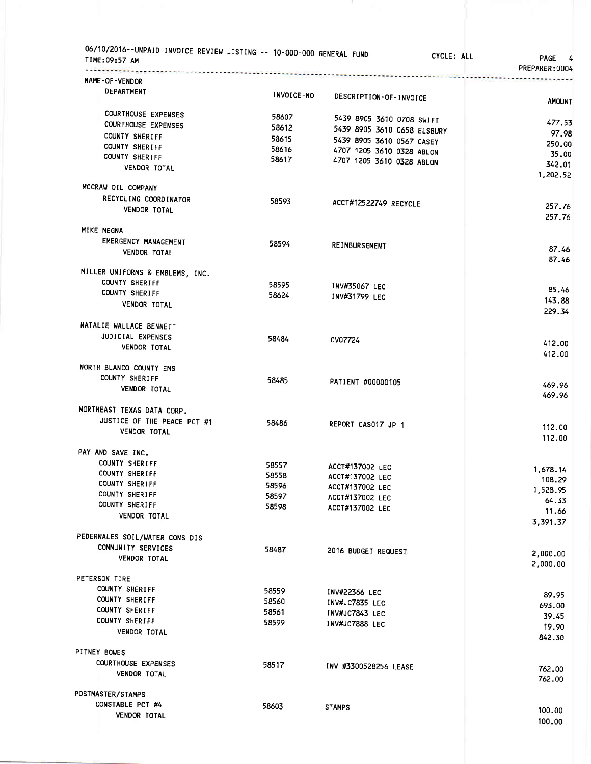| 06/10/2016--UNPAID INVOICE REVIEW LISTING -- 10-000-000 GENERAL FUND<br>TIME:09:57 AM |            |                                    | CYCLE: ALL | PAGE 4<br>PREPARER:0004 |
|---------------------------------------------------------------------------------------|------------|------------------------------------|------------|-------------------------|
| NAME-OF-VENDOR                                                                        |            |                                    |            |                         |
| DEPARTMENT                                                                            | INVOICE-NO | DESCRIPTION-OF-INVOICE             |            | <b>AMOUNT</b>           |
| <b>COURTHOUSE EXPENSES</b>                                                            | 58607      |                                    |            |                         |
| <b>COURTHOUSE EXPENSES</b>                                                            | 58612      | 5439 8905 3610 0708 SWIFT          |            | 477.53                  |
| COUNTY SHERIFF                                                                        |            | 5439 8905 3610 0658 ELSBURY        |            | 97.98                   |
| COUNTY SHERIFF                                                                        | 58615      | 5439 8905 3610 0567 CASEY          |            | 250.00                  |
| COUNTY SHERIFF                                                                        | 58616      | 4707 1205 3610 0328 ABLON          |            | 35.00                   |
| VENDOR TOTAL                                                                          | 58617      | 4707 1205 3610 0328 ABLON          |            | 342.01                  |
|                                                                                       |            |                                    |            | 1,202.52                |
| MCCRAW OIL COMPANY                                                                    |            |                                    |            |                         |
| RECYCLING COORDINATOR                                                                 | 58593      | ACCT#12522749 RECYCLE              |            |                         |
| VENDOR TOTAL                                                                          |            |                                    |            | 257.76<br>257.76        |
| MIKE MEGNA                                                                            |            |                                    |            |                         |
| EMERGENCY MANAGEMENT                                                                  | 58594      |                                    |            |                         |
| VENDOR TOTAL                                                                          |            | REIMBURSEMENT                      |            | 87.46<br>87.46          |
| MILLER UNIFORMS & EMBLEMS, INC.                                                       |            |                                    |            |                         |
| COUNTY SHERIFF                                                                        | 58595      |                                    |            |                         |
| COUNTY SHERIFF                                                                        | 58624      | <b>INV#35067 LEC</b>               |            | 85.46                   |
| VENDOR TOTAL                                                                          |            | INV#31799 LEC                      |            | 143.88                  |
|                                                                                       |            |                                    |            | 229.34                  |
| NATALIE WALLACE BENNETT                                                               |            |                                    |            |                         |
| JUDICIAL EXPENSES                                                                     | 58484      | CV07724                            |            | 412.00                  |
| <b>VENDOR TOTAL</b>                                                                   |            |                                    |            | 412.00                  |
| NORTH BLANCO COUNTY EMS                                                               |            |                                    |            |                         |
| COUNTY SHERIFF                                                                        | 58485      | PATIENT #00000105                  |            | 469.96                  |
| <b>VENDOR TOTAL</b>                                                                   |            |                                    |            | 469.96                  |
| NORTHEAST TEXAS DATA CORP.                                                            |            |                                    |            |                         |
| JUSTICE OF THE PEACE PCT #1                                                           | 58486      | REPORT CAS017 JP 1                 |            |                         |
| <b>VENDOR TOTAL</b>                                                                   |            |                                    |            | 112.00<br>112.00        |
| PAY AND SAVE INC.                                                                     |            |                                    |            |                         |
| COUNTY SHERIFF                                                                        | 58557      |                                    |            |                         |
| COUNTY SHERIFF                                                                        | 58558      | ACCT#137002 LEC<br>ACCT#137002 LEC |            | 1,678.14                |
| COUNTY SHERIFF                                                                        | 58596      |                                    |            | 108.29                  |
| COUNTY SHERIFF                                                                        | 58597      | ACCT#137002 LEC                    |            | 1,528.95                |
| <b>COUNTY SHERIFF</b>                                                                 | 58598      | ACCT#137002 LEC                    |            | 64.33                   |
| <b>VENDOR TOTAL</b>                                                                   |            | ACCT#137002 LEC                    |            | 11.66                   |
|                                                                                       |            |                                    |            | 3,391.37                |
| PEDERNALES SOIL/WATER CONS DIS                                                        |            |                                    |            |                         |
| COMMUNITY SERVICES                                                                    | 58487      | 2016 BUDGET REQUEST                |            | 2,000.00                |
| VENDOR TOTAL                                                                          |            |                                    |            | 2,000.00                |
| PETERSON TIRE                                                                         |            |                                    |            |                         |
| COUNTY SHERIFF                                                                        | 58559      | <b>INV#22366 LEC</b>               |            |                         |
| COUNTY SHERIFF                                                                        | 58560      | INV#JC7835 LEC                     |            | 89.95                   |
| COUNTY SHERIFF                                                                        | 58561      | INV#JC7843 LEC                     |            | 693.00                  |
| COUNTY SHERIFF                                                                        | 58599      | <b>INV#JC7888 LEC</b>              |            | 39.45                   |
| VENDOR TOTAL                                                                          |            |                                    |            | 19.90<br>842.30         |
| PITNEY BOWES                                                                          |            |                                    |            |                         |
| <b>COURTHOUSE EXPENSES</b>                                                            | 58517      |                                    |            |                         |
| VENDOR TOTAL                                                                          |            | INV #3300528256 LEASE              |            | 762.00<br>762.00        |
| POSTMASTER/STAMPS                                                                     |            |                                    |            |                         |
| CONSTABLE PCT #4                                                                      | 58603      | <b>STAMPS</b>                      |            |                         |
| VENDOR TOTAL                                                                          |            |                                    |            | 100.00                  |
|                                                                                       |            |                                    |            | 100.00                  |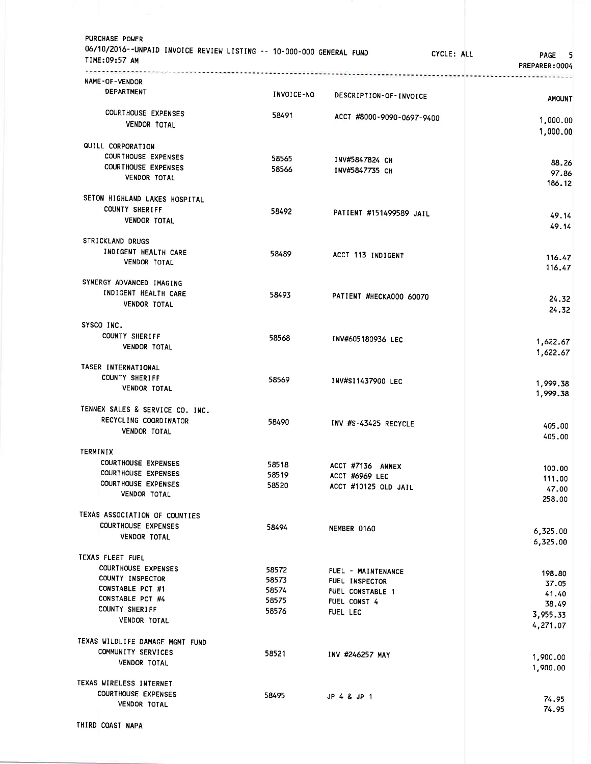| PURCHASE POWER<br>06/10/2016--UNPAID INVOICE REVIEW LISTING -- 10-000-000 GENERAL FUND<br>TIME:09:57 AM<br>. | and an engineering the context of the | CYCLE: ALL                | PAGE 5<br>PREPARER: 0004 |
|--------------------------------------------------------------------------------------------------------------|---------------------------------------|---------------------------|--------------------------|
| NAME-OF-VENDOR<br><b>DEPARTMENT</b>                                                                          | INVOICE-NO                            | DESCRIPTION-OF-INVOICE    | <b>AMOUNT</b>            |
| <b>COURTHOUSE EXPENSES</b>                                                                                   | 58491                                 | ACCT #8000-9090-0697-9400 |                          |
| VENDOR TOTAL                                                                                                 |                                       |                           | 1,000.00<br>1,000.00     |
| QUILL CORPORATION                                                                                            |                                       |                           |                          |
| COURTHOUSE EXPENSES                                                                                          | 58565                                 | INV#5847824 CH            | 88.26                    |
| <b>COURTHOUSE EXPENSES</b><br>VENDOR TOTAL                                                                   | 58566                                 | INV#5847735 CH            | 97.86<br>186.12          |
| SETON HIGHLAND LAKES HOSPITAL                                                                                |                                       |                           |                          |
| <b>COUNTY SHERIFF</b>                                                                                        | 58492                                 | PATIENT #151499589 JAIL   |                          |
| VENDOR TOTAL                                                                                                 |                                       |                           | 49.14<br>49.14           |
| STRICKLAND DRUGS                                                                                             |                                       |                           |                          |
| INDIGENT HEALTH CARE                                                                                         | 58489                                 | ACCT 113 INDIGENT         | 116.47                   |
| VENDOR TOTAL                                                                                                 |                                       |                           | 116.47                   |
| SYNERGY ADVANCED IMAGING                                                                                     |                                       |                           |                          |
| INDIGENT HEALTH CARE                                                                                         | 58493                                 | PATIENT #HECKA000 60070   | 24.32                    |
| VENDOR TOTAL                                                                                                 |                                       |                           | 24.32                    |
| SYSCO INC.                                                                                                   |                                       |                           |                          |
| <b>COUNTY SHERIFF</b>                                                                                        | 58568                                 | INV#605180936 LEC         | 1,622.67                 |
| VENDOR TOTAL                                                                                                 |                                       |                           | 1,622.67                 |
| TASER INTERNATIONAL                                                                                          |                                       |                           |                          |
| COUNTY SHERIFF<br><b>VENDOR TOTAL</b>                                                                        | 58569                                 | INV#SI1437900 LEC         | 1,999.38                 |
|                                                                                                              |                                       |                           | 1,999.38                 |
| TENNEX SALES & SERVICE CO. INC.                                                                              |                                       |                           |                          |
| RECYCLING COORDINATOR                                                                                        | 58490                                 | INV #S-43425 RECYCLE      | 405.00                   |
| <b>VENDOR TOTAL</b>                                                                                          |                                       |                           | 405.00                   |
| TERMINIX                                                                                                     |                                       |                           |                          |
| <b>COURTHOUSE EXPENSES</b>                                                                                   | 58518                                 | ACCT #7136 ANNEX          | 100.00                   |
| <b>COURTHOUSE EXPENSES</b><br><b>COURTHOUSE EXPENSES</b>                                                     | 58519                                 | ACCT #6969 LEC            | 111.00                   |
| VENDOR TOTAL                                                                                                 | 58520                                 | ACCT #10125 OLD JAIL      | 47.00<br>258.00          |
| TEXAS ASSOCIATION OF COUNTIES                                                                                |                                       |                           |                          |
| COURTHOUSE EXPENSES                                                                                          | 58494                                 |                           |                          |
| <b>VENDOR TOTAL</b>                                                                                          |                                       | MEMBER 0160               | 6,325.00<br>6,325.00     |
| TEXAS FLEET FUEL                                                                                             |                                       |                           |                          |
| <b>COURTHOUSE EXPENSES</b>                                                                                   | 58572                                 | FUEL - MAINTENANCE        |                          |
| COUNTY INSPECTOR                                                                                             | 58573                                 | FUEL INSPECTOR            | 198.80<br>37.05          |
| CONSTABLE PCT #1                                                                                             | 58574                                 | FUEL CONSTABLE 1          | 41.40                    |
| CONSTABLE PCT #4                                                                                             | 58575                                 | FUEL CONST 4              | 38.49                    |
| COUNTY SHERIFF                                                                                               | 58576                                 | FUEL LEC                  | 3,955.33                 |
| VENDOR TOTAL                                                                                                 |                                       |                           | 4,271.07                 |
| TEXAS WILDLIFE DAMAGE MGMT FUND                                                                              |                                       |                           |                          |
| COMMUNITY SERVICES                                                                                           | 58521                                 | INV #246257 MAY           | 1,900.00                 |
| VENDOR TOTAL                                                                                                 |                                       |                           | 1,900.00                 |
| TEXAS WIRELESS INTERNET                                                                                      |                                       |                           |                          |
| <b>COURTHOUSE EXPENSES</b>                                                                                   | 58495                                 | JP 4 & JP 1               | 74.95                    |
| <b>VENDOR TOTAL</b>                                                                                          |                                       |                           | 74.95                    |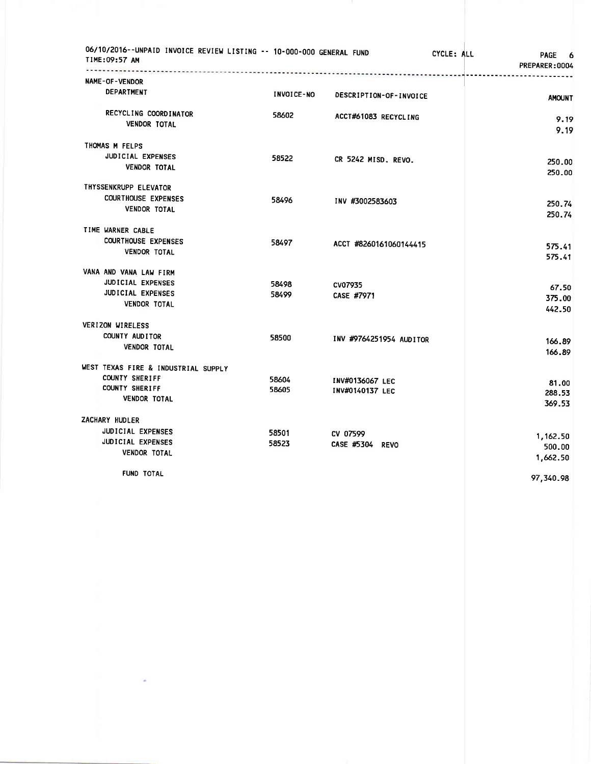| 06/10/2016--UNPAID INVOICE REVIEW LISTING -- 10-000-000 GENERAL FUND<br>TIME:09:57 AM |                   |                         | CYCLE: ALL<br><b>PAGE</b><br>6<br>PREPARER: 0004 |
|---------------------------------------------------------------------------------------|-------------------|-------------------------|--------------------------------------------------|
| <b>NAME-OF-VENDOR</b>                                                                 |                   |                         |                                                  |
| <b>DEPARTMENT</b>                                                                     | <b>INVOICE-NO</b> | DESCRIPTION-OF-INVOICE  | <b>AMOUNT</b>                                    |
| RECYCLING COORDINATOR<br><b>VENDOR TOTAL</b>                                          | 58602             | ACCT#61083 RECYCLING    | 9.19<br>9.19                                     |
| THOMAS M FELPS                                                                        |                   |                         |                                                  |
| JUDICIAL EXPENSES<br><b>VENDOR TOTAL</b>                                              | 58522             | CR 5242 MISD. REVO.     | 250.00<br>250.00                                 |
| THYSSENKRUPP ELEVATOR                                                                 |                   |                         |                                                  |
| <b>COURTHOUSE EXPENSES</b><br><b>VENDOR TOTAL</b>                                     | 58496             | INV #3002583603         | 250.74<br>250.74                                 |
| TIME WARNER CABLE                                                                     |                   |                         |                                                  |
| <b>COURTHOUSE EXPENSES</b><br><b>VENDOR TOTAL</b>                                     | 58497             | ACCT #8260161060144415  | 575.41<br>575.41                                 |
| VANA AND VANA LAW FIRM                                                                |                   |                         |                                                  |
| JUDICIAL EXPENSES                                                                     | 58498             | CV07935                 | 67.50                                            |
| JUDICIAL EXPENSES<br><b>VENDOR TOTAL</b>                                              | 58499             | CASE #7971              | 375.00<br>442.50                                 |
| VERIZON WIRELESS                                                                      |                   |                         |                                                  |
| COUNTY AUDITOR<br><b>VENDOR TOTAL</b>                                                 | 58500             | INV #9764251954 AUDITOR | 166.89<br>166.89                                 |
| WEST TEXAS FIRE & INDUSTRIAL SUPPLY                                                   |                   |                         |                                                  |
| <b>COUNTY SHERIFF</b>                                                                 | 58604             | INV#0136067 LEC         | 81.00                                            |
| <b>COUNTY SHERIFF</b><br><b>VENDOR TOTAL</b>                                          | 58605             | INV#0140137 LEC         | 288.53<br>369.53                                 |
| ZACHARY HUDLER                                                                        |                   |                         |                                                  |
| JUDICIAL EXPENSES                                                                     | 58501             | CV 07599                | 1,162.50                                         |
| JUDICIAL EXPENSES<br><b>VENDOR TOTAL</b>                                              | 58523             | CASE #5304 REVO         | 500.00<br>1,662.50                               |
| FUND TOTAL                                                                            |                   |                         | 97,340.98                                        |

 $\mathcal{O}(\mathcal{O}_\mathcal{O})$  . We set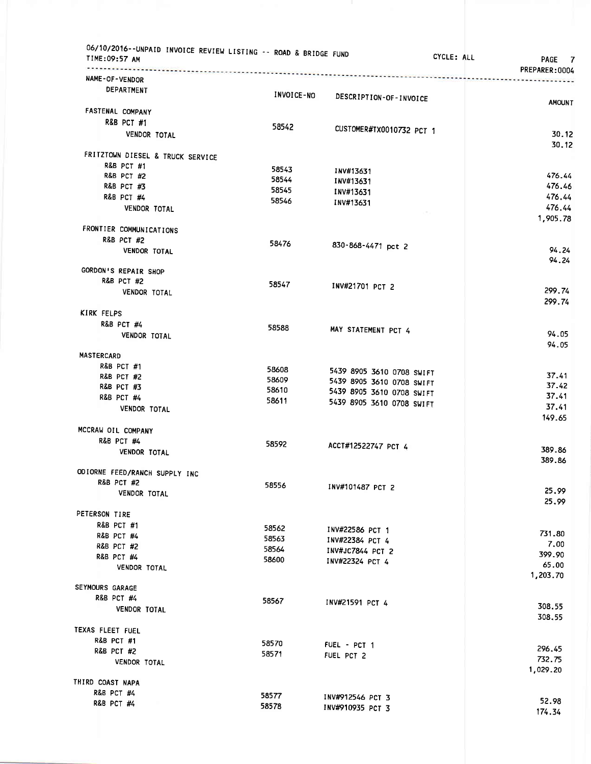| TIME: 09:57 AM<br>- - - - - - <del>-</del> - - - - - - - -       | CYCLE: ALL                | PAGE 7<br>PREPARER:0004 |
|------------------------------------------------------------------|---------------------------|-------------------------|
| NAME-OF-VENDOR                                                   |                           |                         |
| DEPARTMENT<br><b>INVOICE-NO</b>                                  | DESCRIPTION-OF-INVOICE    |                         |
|                                                                  |                           | <b>AMOUNT</b>           |
| FASTENAL COMPANY                                                 |                           |                         |
| <b>R&amp;B PCT #1</b><br>58542                                   | CUSTOMER#TX0010732 PCT 1  |                         |
| VENDOR TOTAL                                                     |                           | 30.12                   |
| FRITZTOWN DIESEL & TRUCK SERVICE                                 |                           | 30.12                   |
| R&B PCT #1                                                       |                           |                         |
| 58543<br>R&B PCT #2                                              | INV#13631                 | 476.44                  |
| 58544<br>R&B PCT #3                                              | INV#13631                 | 476.46                  |
| 58545<br><b>R&amp;B PCT #4</b>                                   | INV#13631                 | 476.44                  |
| 58546<br>VENDOR TOTAL                                            | INV#13631                 | 476.44                  |
|                                                                  |                           | 1,905.78                |
| FRONTIER COMMUNICATIONS                                          |                           |                         |
| <b>R&amp;B PCT #2</b><br>58476                                   |                           |                         |
| VENDOR TOTAL                                                     | 830-868-4471 pct 2        | 94.24                   |
|                                                                  |                           | 94.24                   |
| GORDON'S REPAIR SHOP                                             |                           |                         |
| <b>R&amp;B PCT #2</b><br>58547                                   | INV#21701 PCT 2           |                         |
| VENDOR TOTAL                                                     |                           | 299.74                  |
|                                                                  |                           | 299.74                  |
|                                                                  |                           |                         |
| <b>R&amp;B PCT #4</b><br>58588                                   | MAY STATEMENT PCT 4       |                         |
| VENDOR TOTAL                                                     |                           | 94.05                   |
|                                                                  |                           | 94.05                   |
|                                                                  |                           |                         |
| R&B PCT #1<br>58608                                              | 5439 8905 3610 0708 SWIFT |                         |
| <b>R&amp;B PCT #2</b><br>58609                                   | 5439 8905 3610 0708 SWIFT | 37.41                   |
| <b>R&amp;B PCT #3</b><br>58610                                   | 5439 8905 3610 0708 SWIFT | 37.42                   |
| <b>R&amp;B PCT #4</b><br>58611                                   | 5439 8905 3610 0708 SWIFT | 37.41                   |
| <b>VENDOR TOTAL</b>                                              |                           | 37.41                   |
|                                                                  |                           | 149.65                  |
| MCCRAW OIL COMPANY<br><b>R&amp;B PCT #4</b>                      |                           |                         |
| 58592                                                            | ACCT#12522747 PCT 4       | 389.86                  |
| VENDOR TOTAL                                                     |                           | 389.86                  |
| ODIORNE FEED/RANCH SUPPLY INC                                    |                           |                         |
| <b>R&amp;B PCT #2</b><br>58556                                   | INV#101487 PCT 2          |                         |
| VENDOR TOTAL                                                     |                           | 25.99                   |
|                                                                  |                           | 25.99                   |
|                                                                  |                           |                         |
| <b>R&amp;B PCT #1</b><br>58562                                   | INV#22586 PCT 1           |                         |
| <b>R&amp;B PCT #4</b><br>58563                                   | INV#22384 PCT 4           | 731.80                  |
| <b>R&amp;B PCT #2</b><br>58564                                   | INV#JC7844 PCT 2          | 7.00                    |
| <b>R&amp;B PCT #4</b><br>58600                                   | INV#22324 PCT 4           | 399.90                  |
| <b>VENDOR TOTAL</b>                                              |                           | 65.00                   |
| SEYMOURS GARAGE                                                  |                           | 1,203.70                |
| <b>R&amp;B PCT #4</b>                                            |                           |                         |
| 58567<br><b>VENDOR TOTAL</b>                                     | INV#21591 PCT 4           | 308.55                  |
|                                                                  |                           | 308,55                  |
| TEXAS FLEET FUEL                                                 |                           |                         |
| <b>R&amp;B PCT #1</b><br>58570                                   | FUEL - PCT 1              |                         |
| <b>R&amp;B PCT #2</b><br>58571                                   | FUEL PCT 2                | 296,45                  |
| VENDOR TOTAL                                                     |                           | 732.75                  |
|                                                                  |                           | 1,029.20                |
|                                                                  |                           |                         |
| THIRD COAST NAPA                                                 |                           |                         |
| <b>R&amp;B PCT #4</b><br>58577<br><b>R&amp;B PCT #4</b><br>58578 | INV#912546 PCT 3          | 52.98                   |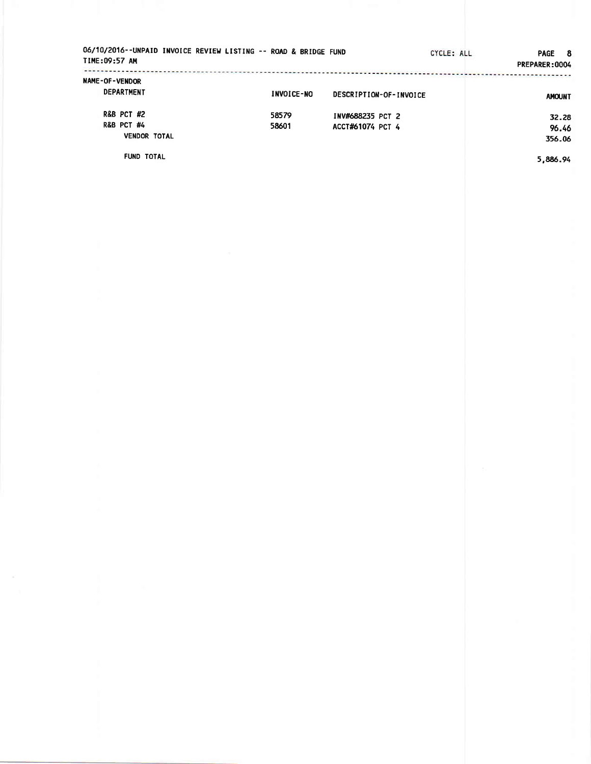| 06/10/2016--UNPAID INVOICE REVIEW LISTING -- ROAD & BRIDGE FUND<br>TIME:09:57 AM |            |                        | CYCLE: ALL | <b>PAGE</b><br>- 8<br>PREPARER: 0004 |
|----------------------------------------------------------------------------------|------------|------------------------|------------|--------------------------------------|
| <b>NAME-OF-VENDOR</b>                                                            |            |                        |            |                                      |
| <b>DEPARTMENT</b>                                                                | INVOICE-NO | DESCRIPTION-OF-INVOICE |            | <b>AMOUNT</b>                        |
| <b>R&amp;B PCT #2</b>                                                            | 58579      | INV#688235 PCT 2       |            | 32.28                                |
| <b>R&amp;B PCT #4</b>                                                            | 58601      | ACCT#61074 PCT 4       |            | 96.46                                |
| <b>VENDOR TOTAL</b>                                                              |            |                        |            | 356.06                               |
| <b>FUND TOTAL</b>                                                                |            |                        |            | 5.886.94                             |

5,886.94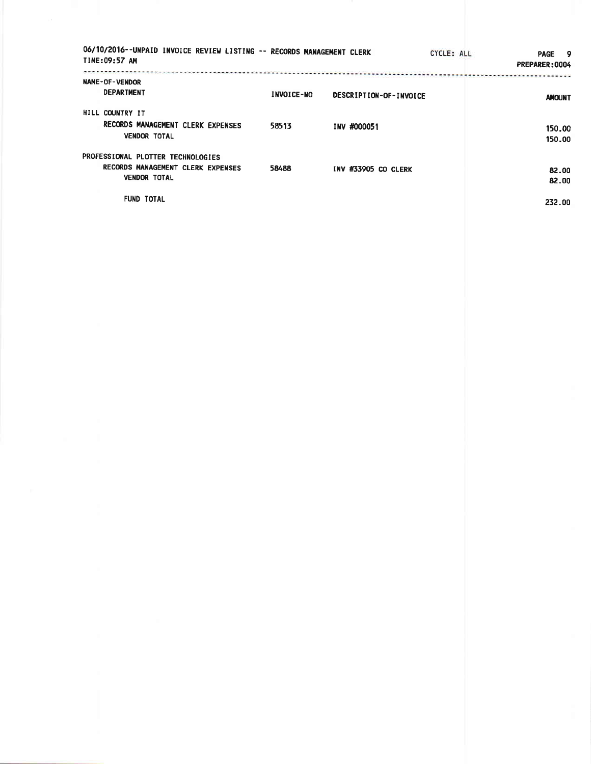| 06/10/2016--UNPAID INVOICE REVIEW LISTING -- RECORDS MANAGEMENT CLERK<br>TIME:09:57 AM        |                   |                        | CYCLE: ALL | PAGE 9<br>PREPARER: 0004 |
|-----------------------------------------------------------------------------------------------|-------------------|------------------------|------------|--------------------------|
| <b>NAME-OF-VENDOR</b><br><b>DEPARTMENT</b>                                                    | <b>INVOICE-NO</b> | DESCRIPTION-OF-INVOICE |            | <b>AMOUNT</b>            |
| HILL COUNTRY IT<br>RECORDS MANAGEMENT CLERK EXPENSES<br><b>VENDOR TOTAL</b>                   | 58513             | INV #000051            |            | 150.00<br>150.00         |
| PROFESSIONAL PLOTTER TECHNOLOGIES<br>RECORDS MANAGEMENT CLERK EXPENSES<br><b>VENDOR TOTAL</b> | 58488             | INV #33905 CO CLERK    |            | 82.00<br>82.00           |
| <b>FUND TOTAL</b>                                                                             |                   |                        |            | 232.00                   |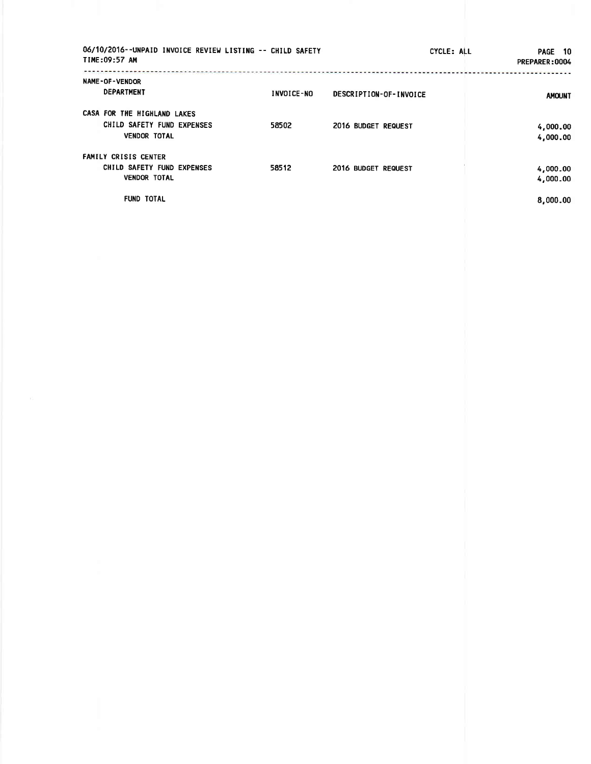| 06/10/2016--UNPAID INVOICE REVIEW LISTING -- CHILD SAFETY<br>TIME:09:57 AM       |            | CYCLE: ALL             | <b>PAGE</b><br>- 10<br>PREPARER: 0004 |
|----------------------------------------------------------------------------------|------------|------------------------|---------------------------------------|
| NAME-OF-VENDOR<br><b>DEPARTMENT</b>                                              | INVOICE-NO | DESCRIPTION-OF-INVOICE | <b>AMOUNT</b>                         |
| CASA FOR THE HIGHLAND LAKES<br>CHILD SAFETY FUND EXPENSES<br><b>VENDOR TOTAL</b> | 58502      | 2016 BUDGET REQUEST    | 4,000.00<br>4,000.00                  |
| <b>FAMILY CRISIS CENTER</b><br>CHILD SAFETY FUND EXPENSES<br><b>VENDOR TOTAL</b> | 58512      | 2016 BUDGET REQUEST    | 4,000.00<br>4,000.00                  |
| <b>FUND TOTAL</b>                                                                |            |                        | 8,000.00                              |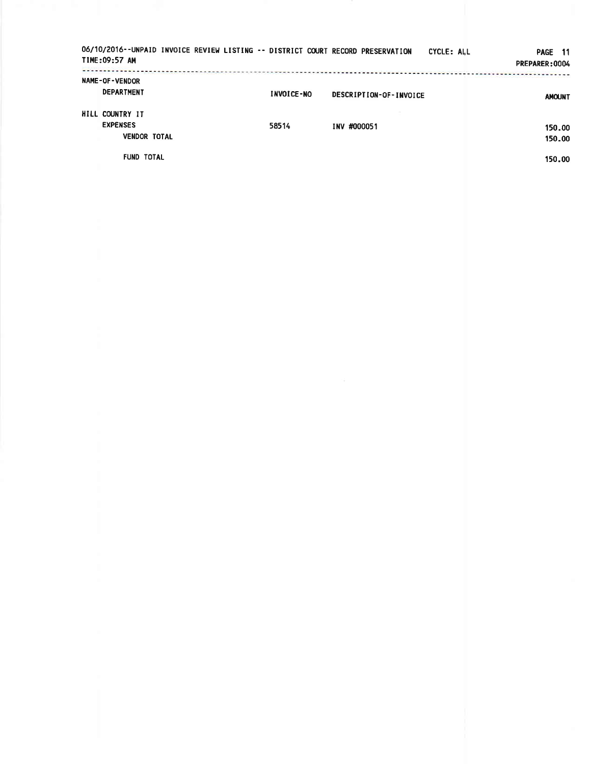| 06/10/2016--UNPAID INVOICE REVIEW LISTING -- DISTRICT COURT RECORD PRESERVATION<br>TIME:09:57 AM |            |                        | CYCLE: ALL | <b>PAGE</b><br>- 11<br>PREPARER: 0004 |
|--------------------------------------------------------------------------------------------------|------------|------------------------|------------|---------------------------------------|
| <b>NAME-OF-VENDOR</b><br><b>DEPARTMENT</b>                                                       | INVOICE-NO | DESCRIPTION-OF-INVOICE |            | <b>AMOUNT</b>                         |
| HILL COUNTRY IT<br><b>EXPENSES</b><br><b>VENDOR TOTAL</b>                                        | 58514      | INV #000051            |            | 150.00<br>150.00                      |
| <b>FUND TOTAL</b>                                                                                |            |                        |            | 150.00                                |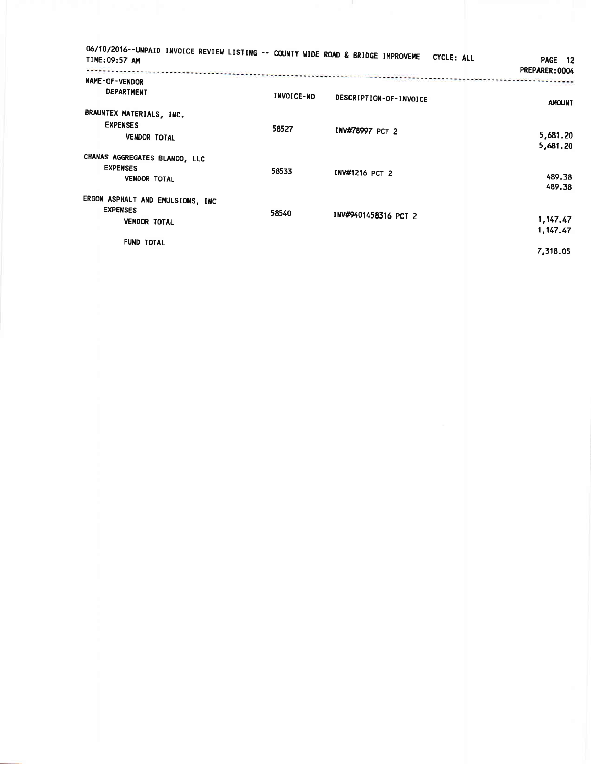| 06/10/2016--UNPAID INVOICE REVIEW LISTING -- COUNTY WIDE ROAD & BRIDGE IMPROVEME<br>TIME:09:57 AM |            | CYCLE: ALL             | PAGE 12<br>PREPARER: 0004         |
|---------------------------------------------------------------------------------------------------|------------|------------------------|-----------------------------------|
| NAME-OF-VENDOR<br><b>DEPARTMENT</b>                                                               | INVOICE-NO | DESCRIPTION-OF-INVOICE | . <del>. .</del><br><b>AMOUNT</b> |
| BRAUNTEX MATERIALS, INC.<br><b>EXPENSES</b><br><b>VENDOR TOTAL</b>                                | 58527      | INV#78997 PCT 2        | 5,681.20<br>5,681.20              |
| CHANAS AGGREGATES BLANCO, LLC<br><b>EXPENSES</b><br><b>VENDOR TOTAL</b>                           | 58533      | INV#1216 PCT 2         | 489.38<br>489.38                  |
| ERGON ASPHALT AND EMULSIONS, INC<br><b>EXPENSES</b><br><b>VENDOR TOTAL</b>                        | 58540      | INV#9401458316 PCT 2   | 1,147.47<br>1,147.47              |
| <b>FUND TOTAL</b>                                                                                 |            |                        | 7,318.05                          |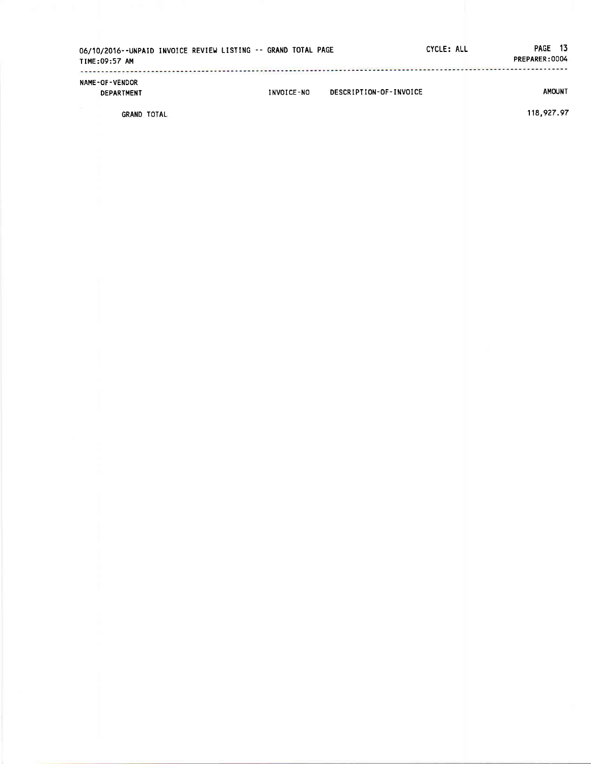| 06/10/2016--UNPAID INVOICE REVIEW LISTING -- GRAND TOTAL PAGE<br>TIME:09:57 AM |  |            |                        | CYCLE: ALL | PAGE 13<br>PREPARER: 0004 |
|--------------------------------------------------------------------------------|--|------------|------------------------|------------|---------------------------|
| NAME-OF-VENDOR<br><b>DEPARTMENT</b>                                            |  | INVOICE-NO | DESCRIPTION-OF-INVOICE |            | <b>AMOUNT</b>             |

**GRAND TOTAL** 

118,927.97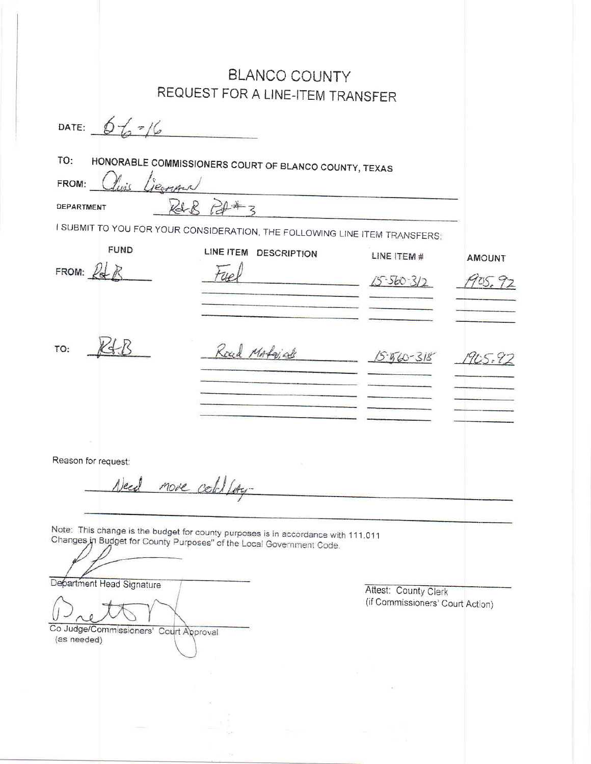|                                                                                    | <b>BLANCO COUNTY</b><br>REQUEST FOR A LINE-ITEM TRANSFER                                                                                                  |                                                          |
|------------------------------------------------------------------------------------|-----------------------------------------------------------------------------------------------------------------------------------------------------------|----------------------------------------------------------|
| DATE:<br>77/6                                                                      |                                                                                                                                                           |                                                          |
| TO:<br>Bensin<br>FROM:<br>DEPARTMENT                                               | HONORABLE COMMISSIONERS COURT OF BLANCO COUNTY, TEXAS                                                                                                     |                                                          |
| <b>FUND</b><br>FROM: $\mathbb{Z}$                                                  | I SUBMIT TO YOU FOR YOUR CONSIDERATION, THE FOLLOWING LINE ITEM TRANSFERS:<br>LINE ITEM DESCRIPTION                                                       | LINE ITEM #<br><b>AMOUNT</b><br>$15 - 560 - 312$<br>705. |
| TO:                                                                                | Road Martajale                                                                                                                                            | $15 - 315$<br>1905.92                                    |
| Reason for request:<br>Alecil                                                      | nove cell life-                                                                                                                                           |                                                          |
|                                                                                    | Note: This change is the budget for county purposes is in accordance with 111.011<br>Changes in Budget for County Purposes" of the Local Government Code. |                                                          |
| Department Head Signature<br>Co Judge/Commissioners' Court Approval<br>(as needed) |                                                                                                                                                           | Attest: County Clerk<br>(if Commissioners' Court Action) |
|                                                                                    |                                                                                                                                                           |                                                          |
|                                                                                    | The company of the company of                                                                                                                             |                                                          |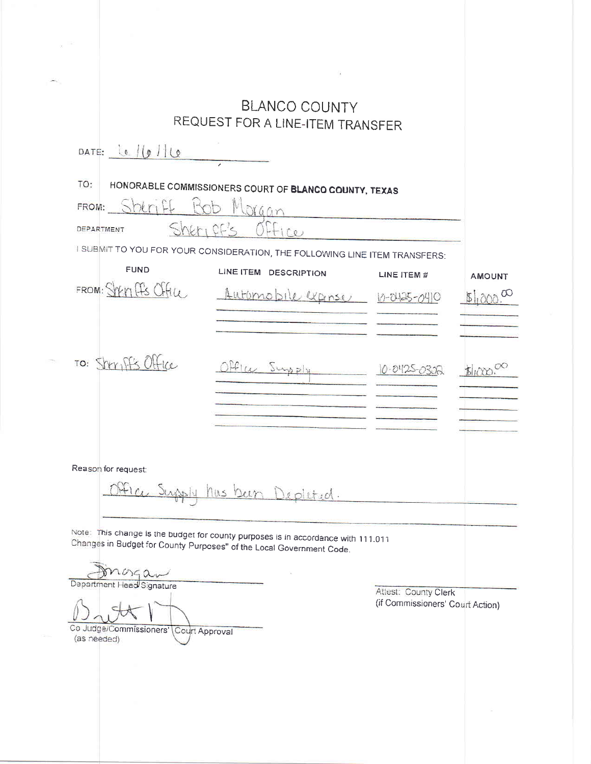| <b>BLANCO COUNTY</b><br>REQUEST FOR A LINE-ITEM TRANSFER                   |                                                                                                                                                           |                      |               |  |
|----------------------------------------------------------------------------|-----------------------------------------------------------------------------------------------------------------------------------------------------------|----------------------|---------------|--|
| DATE: $0$ $910$                                                            |                                                                                                                                                           |                      |               |  |
| TO:                                                                        | HONORABLE COMMISSIONERS COURT OF BLANCO COUNTY, TEXAS                                                                                                     |                      |               |  |
| FROM: Sheriff<br>M<br>draan                                                |                                                                                                                                                           |                      |               |  |
| Sheri CF's<br>DEPARTMENT                                                   | Hicu                                                                                                                                                      |                      |               |  |
|                                                                            | I SUBMIT TO YOU FOR YOUR CONSIDERATION, THE FOLLOWING LINE ITEM TRANSFERS:                                                                                |                      |               |  |
| <b>FUND</b>                                                                | LINE ITEM DESCRIPTION                                                                                                                                     | LINE ITEM $#$        | <b>AMOUNT</b> |  |
| FROM: STYM FFS Office                                                      | Automobile expinse                                                                                                                                        | 10-0125-0410         | 202           |  |
|                                                                            |                                                                                                                                                           |                      |               |  |
|                                                                            |                                                                                                                                                           |                      |               |  |
| TO: Sheriffs Office                                                        | <u> Pfler Sunsply</u>                                                                                                                                     | 10-0425-0302         | BlickX        |  |
|                                                                            |                                                                                                                                                           |                      |               |  |
|                                                                            |                                                                                                                                                           |                      |               |  |
|                                                                            |                                                                                                                                                           |                      |               |  |
|                                                                            |                                                                                                                                                           |                      |               |  |
| Reason for request:                                                        |                                                                                                                                                           |                      |               |  |
| on Supply                                                                  | 1115<br><u>hun Depleted</u> .                                                                                                                             |                      |               |  |
|                                                                            |                                                                                                                                                           |                      |               |  |
|                                                                            | Note: This change is the budget for county purposes is in accordance with 111.011<br>Changes in Budget for County Purposes" of the Local Government Code. |                      |               |  |
|                                                                            |                                                                                                                                                           |                      |               |  |
| Department Head Signature                                                  |                                                                                                                                                           | Attest: County Clerk |               |  |
| (if Commissioners' Court Action)<br>Co Judge/Commissioners' Court Approval |                                                                                                                                                           |                      |               |  |
| (as needed)                                                                |                                                                                                                                                           |                      |               |  |
|                                                                            |                                                                                                                                                           |                      |               |  |
|                                                                            |                                                                                                                                                           |                      |               |  |

 $\mathcal{G}$  . The set of  $\mathcal{G}$ 

 $\omega^{-1/2}$ 

 $\sim$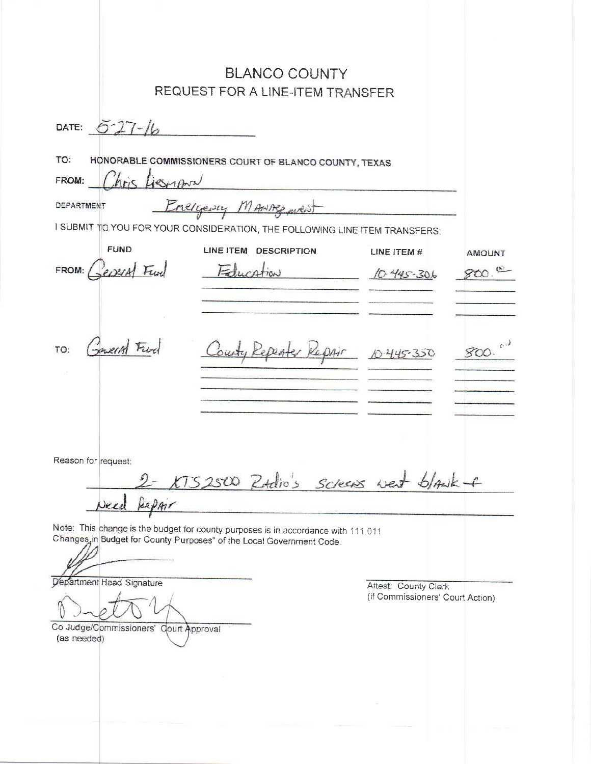| <b>BLANCO COUNTY</b><br>REQUEST FOR A LINE-ITEM TRANSFER                                                                                                   |                                                                                                     |                                                          |               |  |  |  |
|------------------------------------------------------------------------------------------------------------------------------------------------------------|-----------------------------------------------------------------------------------------------------|----------------------------------------------------------|---------------|--|--|--|
| DATE: $6 - 27 - 16$                                                                                                                                        |                                                                                                     |                                                          |               |  |  |  |
| TO:<br>HONORABLE COMMISSIONERS COURT OF BLANCO COUNTY, TEXAS<br>hris LesmAnn<br>FROM:                                                                      |                                                                                                     |                                                          |               |  |  |  |
| <b>DEPARTMENT</b>                                                                                                                                          | Ereligeory MANAgenest                                                                               |                                                          |               |  |  |  |
| <b>FUND</b>                                                                                                                                                | I SUBMIT TO YOU FOR YOUR CONSIDERATION, THE FOLLOWING LINE ITEM TRANSFERS:<br>LINE ITEM DESCRIPTION | LINE ITEM #                                              | <b>AMOUNT</b> |  |  |  |
| FROM: CeperAl Fund                                                                                                                                         | Education                                                                                           | 10-445-306                                               | 800           |  |  |  |
|                                                                                                                                                            |                                                                                                     |                                                          |               |  |  |  |
|                                                                                                                                                            |                                                                                                     |                                                          |               |  |  |  |
| <i>revered</i> Fred<br>TO:                                                                                                                                 | ourty Repeater Repair                                                                               | 10-445-350                                               | 800           |  |  |  |
|                                                                                                                                                            |                                                                                                     |                                                          |               |  |  |  |
|                                                                                                                                                            |                                                                                                     |                                                          |               |  |  |  |
| Reason for request:                                                                                                                                        |                                                                                                     |                                                          |               |  |  |  |
| 2- XTS2500 Radio's Screens west black-f<br>Jeed Repair                                                                                                     |                                                                                                     |                                                          |               |  |  |  |
| Note: This change is the budget for county purposes is in accordance with 111.011<br>Changes, in Budget for County Purposes" of the Local Government Code. |                                                                                                     |                                                          |               |  |  |  |
| Department Head Signature                                                                                                                                  |                                                                                                     | Attest: County Clerk<br>(if Commissioners' Court Action) |               |  |  |  |
| Co Judge/Commissioners' Court Approval<br>(as needed)                                                                                                      |                                                                                                     |                                                          |               |  |  |  |
|                                                                                                                                                            |                                                                                                     |                                                          |               |  |  |  |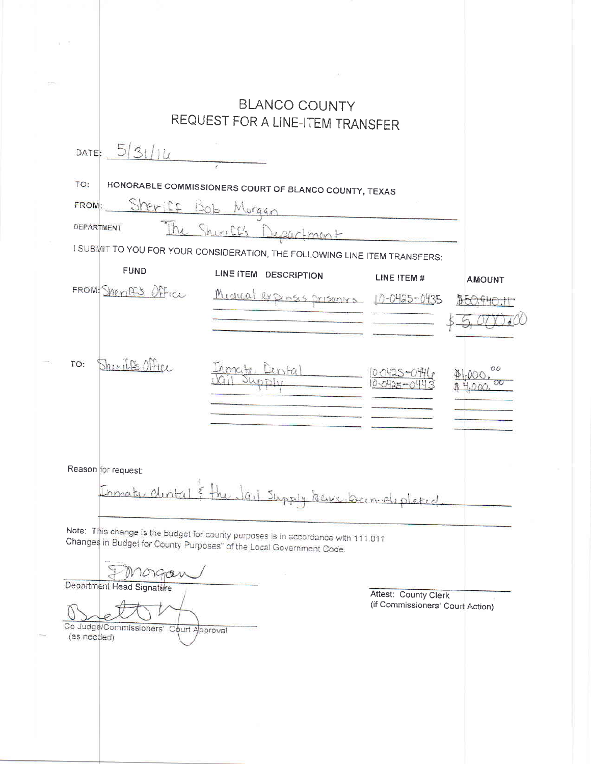| <b>BLANCO COUNTY</b><br>REQUEST FOR A LINE-ITEM TRANSFER                                                           |                                                                                                                                                           |                                                          |               |  |  |  |
|--------------------------------------------------------------------------------------------------------------------|-----------------------------------------------------------------------------------------------------------------------------------------------------------|----------------------------------------------------------|---------------|--|--|--|
| 5/31/14<br>DATE:                                                                                                   |                                                                                                                                                           |                                                          |               |  |  |  |
| TO:<br>Sheriff Bob Morgan<br>FROM:<br>DEPARTMENT                                                                   | HONORABLE COMMISSIONERS COURT OF BLANCO COUNTY, TEXAS                                                                                                     |                                                          |               |  |  |  |
|                                                                                                                    | The Shirick's Department                                                                                                                                  |                                                          |               |  |  |  |
| I SUBMIT TO YOU FOR YOUR CONSIDERATION, THE FOLLOWING LINE ITEM TRANSFERS:<br><b>FUND</b><br>LINE ITEM DESCRIPTION |                                                                                                                                                           |                                                          |               |  |  |  |
| FROM: Sheriffs Office                                                                                              | Midleal examsis prisones 10-0425-0435                                                                                                                     | LINE ITEM #                                              | <b>AMOUNT</b> |  |  |  |
| <u>Sheriffs</u> Mfice<br>TO:                                                                                       |                                                                                                                                                           |                                                          |               |  |  |  |
| Reason for request:<br>$Immatz$ clintal $\leq$ the $\lg_1 s$                                                       | <u>Inpoly Reventoring</u>                                                                                                                                 |                                                          |               |  |  |  |
|                                                                                                                    | Note: This change is the budget for county purposes is in accordance with 111.011<br>Changes in Budget for County Purposes" of the Local Government Code. |                                                          |               |  |  |  |
| organ                                                                                                              |                                                                                                                                                           |                                                          |               |  |  |  |
| Department Head Signature<br>Co Judge/Commissioners' Court Approval<br>(as needed)                                 |                                                                                                                                                           | Attest: County Clerk<br>(if Commissioners' Court Action) |               |  |  |  |
|                                                                                                                    |                                                                                                                                                           |                                                          |               |  |  |  |

 $\alpha = \beta$